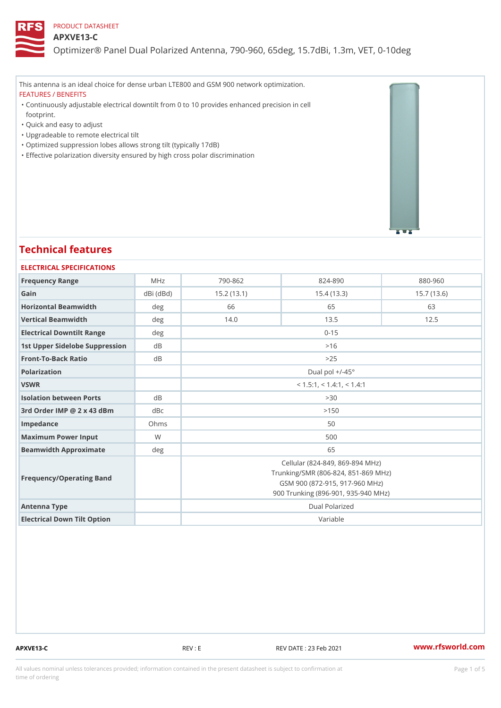#### APXVE13-C

Optimizer® Panel Dual Polarized Antenna, 790-960, 65deg, 15.7dBi, 1.

This antenna is an ideal choice for dense urban LTE800 and GSM 900 network optimization.

FEATURES / BENEFITS

Continuously adjustable electrical downtilt from 0 to 10 provides enhanced precision in cell " footprint.

"Quick and easy to adjust

"Upgradeable to remote electrical tilt

"Optimized suppression lobes allows strong tilt (typically 17dB)

"Effective polarization diversity ensured by high cross polar discrimination

# Technical features

| ELECTRICAL SPECIFICATIONS      |                 |                                                                                                                                                 |             |             |  |
|--------------------------------|-----------------|-------------------------------------------------------------------------------------------------------------------------------------------------|-------------|-------------|--|
| Frequency Range                | MHz             | $790 - 862$                                                                                                                                     | $824 - 890$ | $880 - 960$ |  |
| Gain                           | $dBi$ ( $dBd$ ) | 15.2(13.1)                                                                                                                                      | 15.4(13.3)  | 15.7(13.6)  |  |
| Horizontal Beamwidth           | d e g           | 66                                                                                                                                              | 65          | 63          |  |
| Vertical Beamwidth             | deg             | 14.0                                                                                                                                            | 13.5        | 12.5        |  |
| Electrical Downtilt Range      | deg             | $0 - 15$                                                                                                                                        |             |             |  |
| 1st Upper Sidelobe SuppresdBon |                 | >16                                                                                                                                             |             |             |  |
| Front-To-Back Ratio            | $d \, B$        | > 25                                                                                                                                            |             |             |  |
| Polarization                   |                 | Dual pol $+/-45^{\circ}$                                                                                                                        |             |             |  |
| VSWR                           |                 | $<$ 1.5:1, $<$ 1.4:1, $<$ 1.4:1                                                                                                                 |             |             |  |
| Isolation between Ports        | $d \, B$        |                                                                                                                                                 | > 30        |             |  |
| 3rd Order IMP @ 2 x 43 dBmdBc  |                 |                                                                                                                                                 | > 150       |             |  |
| Impedance                      | Ohms            |                                                                                                                                                 | 50          |             |  |
| Maximum Power Input            | W               |                                                                                                                                                 | 500         |             |  |
| Beamwidth Approximate          | deq             |                                                                                                                                                 | 65          |             |  |
| Frequency/Operating Band       |                 | Cellular (824-849, 869-894 MHz)<br>Trunking/SMR (806-824, 851-869 MHz)<br>GSM 900 (872-915, 917-960 MHz)<br>900 Trunking (896-901, 935-940 MHz) |             |             |  |
| Antenna Type                   |                 | Dual Polarized                                                                                                                                  |             |             |  |
| Electrical Down Tilt Option    |                 |                                                                                                                                                 | Variable    |             |  |

APXVE13-C REV : E REV DATE : 23 Feb 2021 [www.](https://www.rfsworld.com)rfsworld.com

All values nominal unless tolerances provided; information contained in the present datasheet is subject to Pcapgeight Stio time of ordering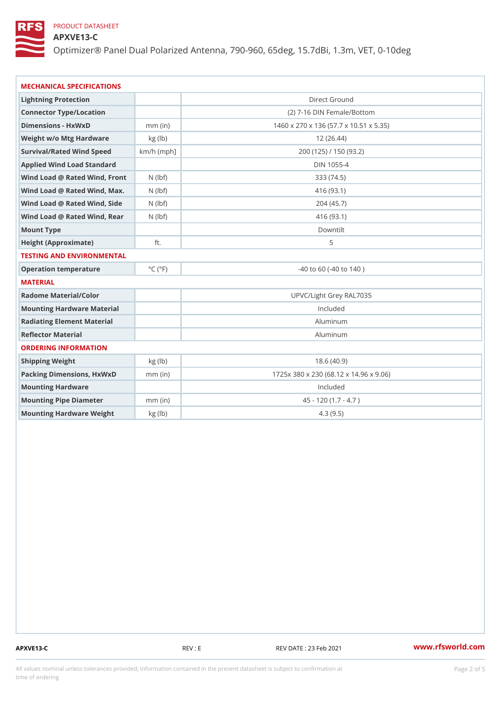## APXVE13-C

Optimizer® Panel Dual Polarized Antenna, 790-960, 65deg, 15.7dBi, 1.

| MECHANICAL SPECIFICATIONS          |                             |                                        |  |
|------------------------------------|-----------------------------|----------------------------------------|--|
| Lightning Protection               |                             | Direct Ground                          |  |
| Connector Type/Location            |                             | (2) 7-16 DIN Female/Bottom             |  |
| Dimensions - HxWxD                 | mm (in                      | 1460 x 270 x 136 (57.7 x 10.51 x 5.35) |  |
| Weight w/o Mtg Hardware kg (1b)    |                             | 12(26.44)                              |  |
| Survival/Rated Wind Speach/h (mph] |                             | 200 (125) / 150 (93.2)                 |  |
| Applied Wind Load Standard         |                             | DIN 1055-4                             |  |
| Wind Load @ Rated Wind, FNro(hbtf) |                             | 333 (74.5)                             |  |
| Wind Load @ Rated Wind, Ma(xbf)    |                             | 416 (93.1)                             |  |
| Wind Load @ Rated Wind, Slidebf)   |                             | 204 (45.7)                             |  |
| Wind Load @ Rated Wind, Reashbf)   |                             | 416 (93.1)                             |  |
| Mount Type                         |                             | Downtilt                               |  |
| Height (Approximate)               | ft.                         | 5                                      |  |
| TESTING AND ENVIRONMENTAL          |                             |                                        |  |
| Operation temperature              | $^{\circ}$ C ( $^{\circ}$ F | $-40$ to 60 ( $-40$ to 140)            |  |
| MATERIAL                           |                             |                                        |  |
| Radome Material/Color              |                             | UPVC/Light Grey RAL7035                |  |
| Mounting Hardware Material         |                             | Included                               |  |
| Radiating Element Material         |                             | Aluminum                               |  |
| Reflector Material                 |                             | Aluminum                               |  |
| ORDERING INFORMATION               |                             |                                        |  |
| Shipping Weight                    | kg (lb)                     | 18.6(40.9)                             |  |
| Packing Dimensions, HxWxnDm (in)   |                             | 1725x 380 x 230 (68.12 x 14.96 x 9.06) |  |
| Mounting Hardware                  |                             | Included                               |  |
| Mounting Pipe Diameter             | $mm$ (in)                   | $45 - 120 (1.7 - 4.7)$                 |  |
| Mounting Hardware Weightkg (Ib)    |                             | 4.3(9.5)                               |  |

APXVE13-C REV : E REV DATE : 23 Feb 2021 WWW.rfsworld.com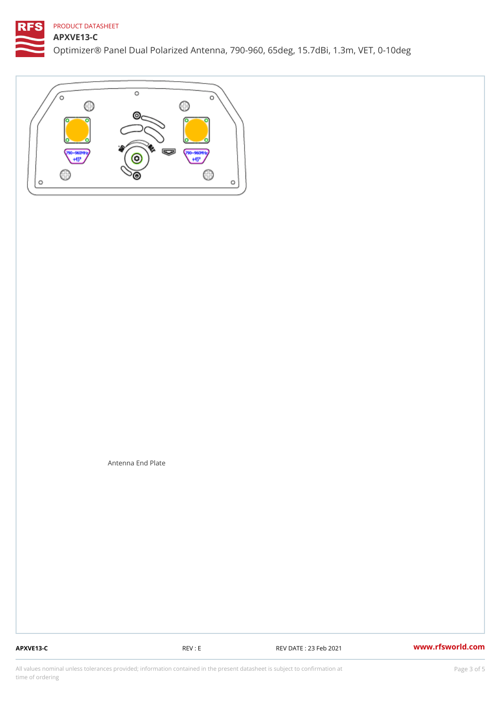APXVE13-C

Optimizer® Panel Dual Polarized Antenna, 790-960, 65deg, 15.7dBi, 1.

Antenna End Plate

APXVE13-C REV : E REV DATE : 23 Feb 2021 WWW.rfsworld.com

All values nominal unless tolerances provided; information contained in the present datasheet is subject to Pcapgeling that i time of ordering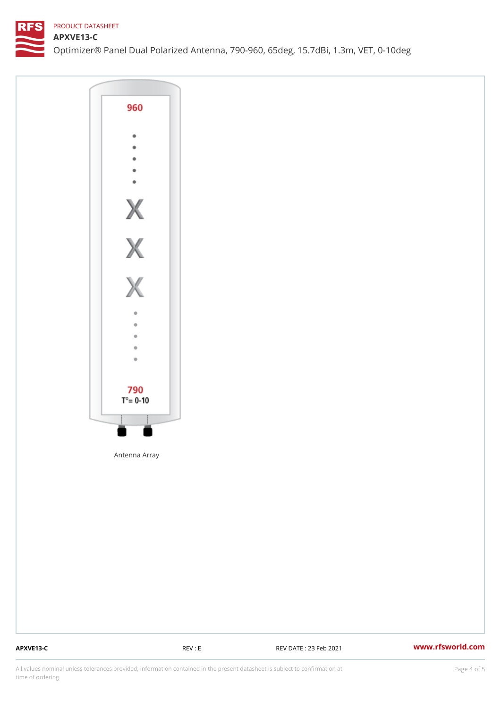APXVE13-C

Optimizer® Panel Dual Polarized Antenna, 790-960, 65deg, 15.7dBi, 1.

Antenna Array

APXVE13-C REV : E REV DATE : 23 Feb 2021 WWW.rfsworld.com

All values nominal unless tolerances provided; information contained in the present datasheet is subject to Pcapgnéig4m ssti time of ordering